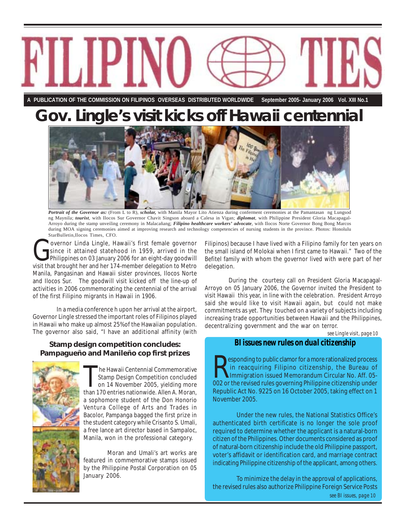

**A PUBLICATION OF THE COMMISSION ON FILIPINOS OVERSEAS DISTRIBUTED WORLDWIDE September 2005- January 2006 Vol. XIII No.1**

# **Gov. Lingle's visit kicks off Hawaii centennial**



*Portrait of the Governor as:* (From L to R), *scholar*, with Manila Mayor Lito Atienza during conferment ceremonies at the Pamantasan ng Lungsod ng Maynila; *tourist,* with Ilocos Sur Governor Chavit Singson aboard a Calesa in Vigan; *diplomat*, with Philippine President Gloria Macapagal-Arroyo during the stamp unveiling ceremony in Malacañang; *Filipino healthcare workers' advocate*, with Ilocos Norte Governor Bong Bong Marcos during MOA signing ceremonies aimed at improving research and technology competencies of nursing students in the province. Photos: Honolulu StarBulletin,Ilocos Times, CFO.

Governor Linda Lingle, Hawaii's first female governor<br>
Since it attained statehood in 1959, arrived in the<br>
Philippines on 03 January 2006 for an eight-day goodwill<br>
Visit that brought best and her 174 member delegation to since it attained statehood in 1959, arrived in the visit that brought her and her 174-member delegation to Metro Manila, Pangasinan and Hawaii sister provinces, Ilocos Norte and Ilocos Sur. The goodwill visit kicked off the line-up of activities in 2006 commemorating the centennial of the arrival of the first Filipino migrants in Hawaii in 1906.

In a media conference h upon her arrival at the airport, Governor Lingle stressed the important roles of Filipinos played in Hawaii who make up almost 25% of the Hawaiian population. The governor also said, "I have an additional affinity (with

### **Stamp design competition concludes: Pampagueño and Manileño cop first prizes**



The Hawaii Centennial Commemorative<br>Stamp Design Competition concluded<br>on 14 November 2005, yielding more Stamp Design Competition concluded on 14 November 2005, yielding more than 170 entries nationwide. Allen A. Moran, a sophomore student of the Don Honorio Ventura College of Arts and Trades in Bacolor, Pampanga bagged the first prize in the student category while Crisanto S. Umali, a free lance art director based in Sampaloc, Manila, won in the professional category.

Moran and Umali's art works are featured in commemorative stamps issued by the Philippine Postal Corporation on 05 January 2006.

Filipinos) because I have lived with a Filipino family for ten years on the small island of Molokai when I first came to Hawaii." Two of the Befitel family with whom the governor lived with were part of her delegation.

During the courtesy call on President Gloria Macapagal-Arroyo on 05 January 2006, the Governor invited the President to visit Hawaii this year, in line with the celebration. President Arroyo said she would like to visit Hawaii again, but could not make commitments as yet. They touched on a variety of subjects including increasing trade opportunities between Hawaii and the Philippines, decentralizing government and the war on terror.

*see Lingle visit, page 10*

### *BI issues new rules on dual citizenship*

**Expending to public clamor for a more rationalized process** in reacquiring Filipino citizenship, the Bureau of Immigration issued Memorandum Circular No. Aff. 05-002 or the revised rules governing Philippine citizenship u esponding to public clamor for a more rationalized process in reacquiring Filipino citizenship, the Bureau of Immigration issued Memorandum Circular No. Aff. 05- Republic Act No. 9225 on 16 October 2005, taking effect on 1 November 2005.

Under the new rules, the National Statistics Office's authenticated birth certificate is no longer the sole proof required to determine whether the applicant is a natural-born citizen of the Philippines. Other documents considered as proof of natural-born citizenship include the old Philippine passport, voter's affidavit or identification card, and marriage contract indicating Philippine citizenship of the applicant, among others.

To minimize the delay in the approval of applications, the revised rules also authorize Philippine Foreign Service Posts *see BI issues, page 10*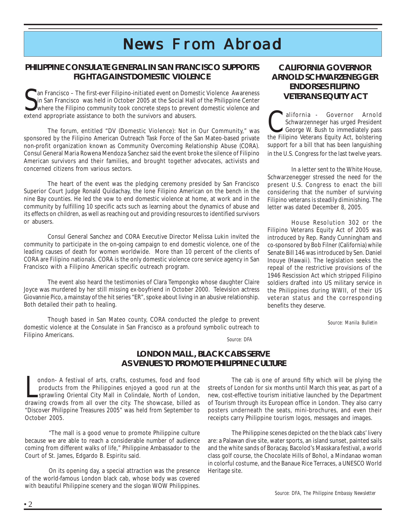# *News From Abroad rom Abroad*

### **PHILIPPINE CONSULATE GENERAL IN SAN FRANCISCO SUPPORTS FIGHT AGAINST DOMESTIC VIOLENCE**

San Francisco – The first-ever Filipino-initiated event on Dome:<br>Sin San Francisco was held in October 2005 at the Social Hall<br>extend appropriate assistance to both the survivors and abusers. an Francisco – The first-ever Filipino-initiated event on Domestic Violence Awareness in San Francisco was held in October 2005 at the Social Hall of the Philippine Center where the Filipino community took concrete steps to prevent domestic violence and

The forum, entitled "DV (Domestic Violence): Not in Our Community," was sponsored by the Filipino American Outreach Task Force of the San Mateo-based private non-profit organization known as Community Overcoming Relationship Abuse (CORA). Consul General Maria Rowena Mendoza Sanchez said the event broke the silence of Filipino American survivors and their families, and brought together advocates, activists and concerned citizens from various sectors.

The heart of the event was the pledging ceremony presided by San Francisco Superior Court Judge Ronald Quidachay, the lone Filipino American on the bench in the nine Bay counties. He led the vow to end domestic violence at home, at work and in the community by fulfilling 10 specific acts such as learning about the dynamics of abuse and its effects on children, as well as reaching out and providing resources to identified survivors or abusers.

Consul General Sanchez and CORA Executive Director Melissa Lukin invited the community to participate in the on-going campaign to end domestic violence, one of the leading causes of death for women worldwide. More than 10 percent of the clients of CORA are Filipino nationals. CORA is the only domestic violence core service agency in San Francisco with a Filipino American specific outreach program.

The event also heard the testimonies of Clara Tempongko whose daughter Claire Joyce was murdered by her still missing ex-boyfriend in October 2000. Television actress Giovannie Pico, a mainstay of the hit series "ER", spoke about living in an abusive relationship. Both detailed their path to healing.

Though based in San Mateo county, CORA conducted the pledge to prevent domestic violence at the Consulate in San Francisco as a profound symbolic outreach to Filipino Americans.

### **CALIFORNIA GOVERNOR ARNOLD SCHWARZENEGGER ENDORSES FILIPINO VETERANS EQUITY ACT**

California - Governor Arnold<br>
Schwarzenneger has urged President<br>
George W. Bush to immediately pass<br>
the Filipine Veterans Equity Act, belsforing Schwarzenneger has urged President the Filipino Veterans Equity Act, bolstering support for a bill that has been languishing in the U.S. Congress for the last twelve years.

In a letter sent to the White House, Schwarzenegger stressed the need for the present U.S. Congress to enact the bill considering that the number of surviving Filipino veterans is steadily diminishing. The letter was dated December 8, 2005.

House Resolution 302 or the Filipino Veterans Equity Act of 2005 was introduced by Rep. Randy Cunningham and co-sponsored by Bob Filner (California) while Senate Bill 146 was introduced by Sen. Daniel Inouye (Hawaii). The legislation seeks the repeal of the restrictive provisions of the 1946 Rescission Act which stripped Filipino soldiers drafted into US military service in the Philippines during WWII, of their US veteran status and the corresponding benefits they deserve.

 *Source: Manila Bulletin*

 *Source: DFA*

### **LONDON MALL , BLACK CABS SERVE AS VENUES TO PROMOTE PHILIPPINE CULTURE**

ondon- A festival of arts, crafts, costumes, food and food<br>products from the Philippines enjoyed a good run at the<br>sprawling Oriental City Mall in Colindale, North of London,<br>drawing crowds from all over the city. The show ondon- A festival of arts, crafts, costumes, food and food products from the Philippines enjoyed a good run at the sprawling Oriental City Mall in Colindale, North of London, "Discover Philippine Treasures 2005" was held from September to October 2005.

"The mall is a good venue to promote Philippine culture because we are able to reach a considerable number of audience coming from different walks of life," Philippine Ambassador to the Court of St. James, Edgardo B. Espiritu said.

On its opening day, a special attraction was the presence of the world-famous London black cab, whose body was covered with beautiful Philippine scenery and the slogan WOW Philippines.

The cab is one of around fifty which will be plying the streets of London for six months until March this year, as part of a new, cost-effective tourism initiative launched by the Department of Tourism through its European office in London. They also carry posters underneath the seats, mini-brochures, and even their receipts carry Philippine tourism logos, messages and images.

The Philippine scenes depicted on the the black cabs' livery are: a Palawan dive site, water sports, an island sunset, painted sails and the white sands of Boracay, Bacolod's Masskara festival, a world class golf course, the Chocolate Hills of Bohol, a Mindanao woman in colorful costume, and the Banaue Rice Terraces, a UNESCO World Heritage site.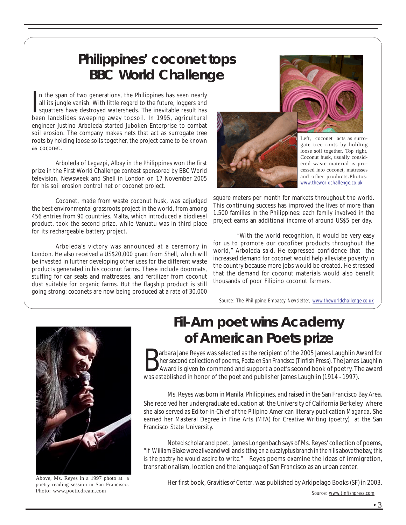# **Philippines' coconet tops BBC World Challenge**

In the span of two generations, the Philippines has seen nearly<br>all its jungle vanish. With little regard to the future, loggers and<br>squatters have destroyed watersheds. The inevitable result has<br>heap landslides sweeping a n the span of two generations, the Philippines has seen nearly all its jungle vanish. With little regard to the future, loggers and been landslides sweeping away topsoil. In 1995, agricultural engineer Justino Arboleda started Juboken Enterprise to combat soil erosion. The company makes nets that act as surrogate tree roots by holding loose soils together, the project came to be known as coconet.

Arboleda of Legazpi, Albay in the Philippines won the first prize in the First World Challenge contest sponsored by BBC World television, Newsweek and Shell in London on 17 November 2005 for his soil erosion control net or coconet project.

Coconet, made from waste coconut husk, was adjudged the best environmental grassroots project in the world, from among 456 entries from 90 countries. Malta, which introduced a biodiesel product, took the second prize, while Vanuatu was in third place for its rechargeable battery project.

Arboleda's victory was announced at a ceremony in London. He also received a US\$20,000 grant from Shell, which will be invested in further developing other uses for the different waste products generated in his coconut farms. These include doormats, stuffing for car seats and mattresses, and fertilizer from coconut dust suitable for organic farms. But the flagship product is still going strong: coconets are now being produced at a rate of 30,000



Left, coconet acts as surrogate tree roots by holding loose soil together. Top right, Coconut husk, usually considered waste material is processed into coconet, matresses and other products.Photos: *www.theworldchallenge.co.uk*

square meters per month for markets throughout the world. This continuing success has improved the lives of more than 1,500 families in the Philippines: each family involved in the project earns an additional income of around US\$5 per day.

"With the world recognition, it would be very easy for us to promote our cocofiber products throughout the world," Arboleda said. He expressed confidence that the increased demand for coconet would help alleviate poverty in the country because more jobs would be created. He stressed that the demand for coconut materials would also benefit thousands of poor Filipino coconut farmers.

*Source: The Philippine Embassy Newsletter, www.theworldchallenge.co.uk*



poetry reading session in San Francisco. Photo: www.poeticdream.com

# **Fil-Am poet wins Academy of American Poets prize**

**B** arbara Jane Reyes was selected as the recipient of the 2005 James Laughlin A<br>her second collection of poems, *Poeta en San Francisco* (Tinfish Press). The James<br>Award is given to commend and support a poet's second boo arbara Jane Reyes was selected as the recipient of the 2005 James Laughlin Award for her second collection of poems, *Poeta en San Francisco* (Tinfish Press). The James Laughlin Award is given to commend and support a poet's second book of poetry. The award

Ms. Reyes was born in Manila, Philippines, and raised in the San Francisco Bay Area. She received her undergraduate education at the University of California Berkeley where she also served as Editor-in-Chief of the Pilipino American literary publication *Maganda*. She earned her Masteral Degree in Fine Arts (MFA) for Creative Writing (poetry) at the San Francisco State University.

Noted scholar and poet, James Longenbach says of Ms. Reyes' collection of poems, "*If William Blake were alive and well and sitting on a eucalyptus branch in the hills above the bay, this is the poetry he would aspire to write."* Reyes poems examine the ideas of immigration, transnationalism, location and the language of San Francisco as an urban center.

*Source: www.tinfishpress.com* Above, Ms. Reyes in a 1997 photo at a<br>noetry reading session in San Francisco<br>**Her first book**, *Gravities of Center*, was published by Arkipelago Books (SF) in 2003.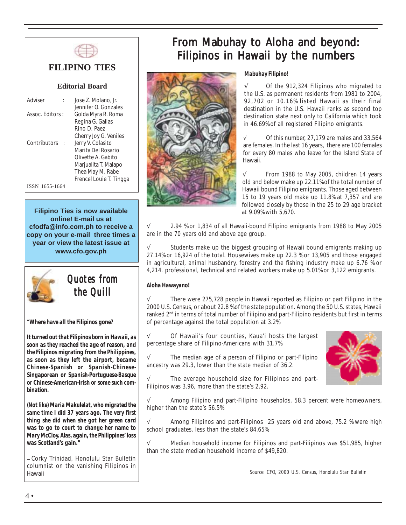

## **FILIPINO TIES**

### **Editorial Board**

| Adviser          |     | Jose Z. Molano, Jr.     |
|------------------|-----|-------------------------|
|                  |     | Jennifer O. Gonzales    |
| Assoc. Editors : |     | Golda Myra R. Roma      |
|                  |     | Regina G. Galias        |
|                  |     | Rino D. Paez            |
|                  |     | Cherry Joy G. Veniles   |
| Contributors     | - 1 | Jerry V. Colasito       |
|                  |     | Marita Del Rosario      |
|                  |     | Olivette A. Gabito      |
|                  |     | Marjualita T. Malapo    |
|                  |     | Thea May M. Rabe        |
|                  |     | Frencel Louie T. Tingga |
| 1655-1664        |     |                         |
|                  |     |                         |

**Filipino Ties is now available online! E-mail us at cfodfa@info.com.ph to receive a copy on your e-mail three times a year or view the latest issue at www.cfo.gov.ph**



*Quotes from the Quill* 

"*Where have all the Filipinos gone?*

*It turned out that Filipinos born in Hawaii, as soon as they reached the age of reason, and the Filipinos migrating from the Philippines, as soon as they left the airport, became Chinese-Spanish or Spanish-Chinese-Singaporean or Spanish-Portuguese-Basque or Chinese-American-Irish or some such combination.*

*(Not like) Maria Makulelat, who migrated the same time I did 37 years ago. The very first thing she did when she got her green card was to go to court to change her name to Mary McCloy. Alas, again, the Philippines' loss was Scotland's gain."*

*---* Corky Trinidad, Honolulu Star Bulletin columnist on the vanishing Filipinos in Hawaii

## From Mabuhay to Aloha and beyond: Filipinos in Hawaii by the numbers



#### *Mabuhay Filipino!*

Of the 912,324 Filipinos who migrated to the U.S. as permanent residents from 1981 to 2004, 92,702 or 10.16% listed Hawaii as their final destination in the U.S. Hawaii ranks as second top destination state next only to California which took in 46.69% of all registered Filipino emigrants.

√ Of this number, 27,179 are males and 33,564 are females. In the last 16 years, there are 100 females for every 80 males who leave for the Island State of Hawaii.

From 1988 to May 2005, children 14 years old and below make up 22.11% of the total number of Hawaii bound Filipino emigrants. Those aged between 15 to 19 years old make up 11.8% at 7,357 and are followed closely by those in the 25 to 29 age bracket at 9.09% with 5,670.

2.94 % or 1,834 of all Hawaii-bound Filipino emigrants from 1988 to May 2005 are in the 70 years old and above age group.

Students make up the biggest grouping of Hawaii bound emigrants making up 27.14% or 16,924 of the total. Housewives make up 22.3 % or 13,905 and those engaged in agricultural, animal husbandry, forestry and the fishing industry make up 6.76 % or 4,214. professional, technical and related workers make up 5.01% or 3,122 emigrants.

### *Aloha Hawayano!*

 $\sqrt{ }$  There were 275,728 people in Hawaii reported as Filipino or part Filipino in the 2000 U.S. Census, or about 22.8 % of the state population. Among the 50 U.S. states, Hawaii ranked 2<sup>nd</sup> in terms of total number of Filipino and part-Filipino residents but first in terms of percentage against the total population at 3.2%.

√ Of Hawaii's four counties, Kaua'i hosts the largest percentage share of Filipino-Americans with 31.7%.

 $\sqrt{ }$  The median age of a person of Filipino or part-Filipino ancestry was 29.3, lower than the state median of 36.2.

The average household size for Filipinos and part-Filipinos was 3.96, more than the state's 2.92.

Among Filipino and part-Filipino households, 58.3 percent were homeowners, higher than the state's 56.5%.

 $\sqrt{ }$  Among Filipinos and part-Filipinos 25 years old and above, 75.2 % were high school graduates, less than the state's 84.65%.

Median household income for Filipinos and part-Filipinos was \$51,985, higher than the state median household income of \$49,820.

 *Source: CFO, 2000 U.S. Census, Honolulu Star Bulletin*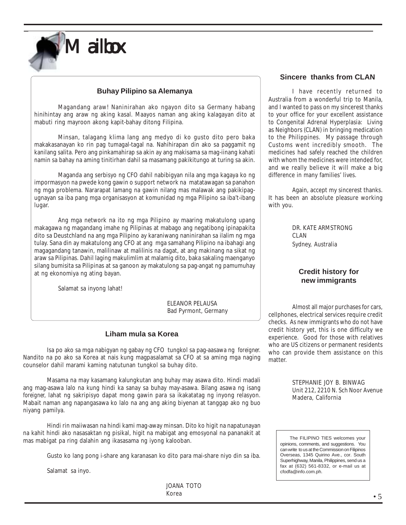

### **Buhay Pilipino sa Alemanya**

Magandang araw! Naninirahan ako ngayon dito sa Germany habang hinihintay ang araw ng aking kasal. Maayos naman ang aking kalagayan dito at mabuti ring mayroon akong kapit-bahay ditong Filipina.

Minsan, talagang klima lang ang medyo di ko gusto dito pero baka makakasanayan ko rin pag tumagal-tagal na. Nahihirapan din ako sa paggamit ng kanilang salita. Pero ang pinkamahirap sa akin ay ang makisama sa mag-iinang kahati namin sa bahay na aming tinitirhan dahil sa masamang pakikitungo at turing sa akin.

Maganda ang serbisyo ng CFO dahil nabibigyan nila ang mga kagaya ko ng impormasyon na pwede kong gawin o support network na matatawagan sa panahon ng mga problema. Nararapat lamang na gawin nilang mas malawak ang pakikipagugnayan sa iba pang mga organisasyon at komunidad ng mga Pilipino sa iba't-ibang lugar.

Ang mga network na ito ng mga Pilipino ay maaring makatulong upang makagawa ng magandang imahe ng Pilipinas at mabago ang negatibong ipinapakita dito sa Deustchland na ang mga Pilipino ay karaniwang naninirahan sa ilalim ng mga tulay. Sana din ay makatulong ang CFO at ang mga samahang Pilipino na ibahagi ang magagandang tanawin, malilinaw at malilinis na dagat, at ang makinang na sikat ng araw sa Pilipinas. Dahil laging makulimlim at malamig dito, baka sakaling maenganyo silang bumisita sa Pilipinas at sa ganoon ay makatulong sa pag-angat ng pamumuhay at ng ekonomiya ng ating bayan.

Salamat sa inyong lahat!

 ELEANOR PELAUSA Bad Pyrmont, Germany

### **Liham mula sa Korea**

Isa po ako sa mga nabigyan ng gabay ng CFO tungkol sa pag-aasawa ng *foreigner.* Nandito na po ako sa Korea at nais kung magpasalamat sa CFO at sa aming mga naging counselor dahil marami kaming natutunan tungkol sa buhay dito.

Masama na may kasamang kalungkutan ang buhay may asawa dito. Hindi madali ang mag-asawa lalo na kung hindi ka sanay sa buhay may-asawa. Bilang asawa ng isang *foreigner,* lahat ng sakripisyo dapat mong gawin para sa ikakatatag ng inyong relasyon. Mabait naman ang napangasawa ko lalo na ang ang aking biyenan at tanggap ako ng buo niyang pamilya.

Hindi rin maiiwasan na hindi kami mag-away minsan. Dito ko higit na napatunayan na kahit hindi ako nasasaktan ng pisikal, higit na mabigat ang emosyonal na pananakit at mas mabigat pa ring dalahin ang ikasasama ng iyong kalooban.

Gusto ko lang pong i-share ang karanasan ko dito para mai-share niyo din sa iba.

Salamat sa inyo.

JOANA TOTO Korea

### **Sincere thanks from CLAN**

I have recently returned to Australia from a wonderful trip to Manila, and I wanted to pass on my sincerest thanks to your office for your excellent assistance to Congenital Adrenal Hyperplasia: Living as Neighbors (CLAN) in bringing medication to the Philippines. My passage through Customs went incredibly smooth. The medicines had safely reached the children with whom the medicines were intended for, and we really believe it will make a big difference in many families' lives.

Again, accept my sincerest thanks. It has been an absolute pleasure working with you.

> DR. KATE ARMSTRONG CLAN Sydney, Australia

### **Credit history for new immigrants**

Almost all major purchases for cars, cellphones, electrical services require credit checks. As new immigrants who do not have credit history yet, this is one difficulty we experience. Good for those with relatives who are US citizens or permanent residents who can provide them assistance on this matter

> STEPHANIE JOY B. BINWAG Unit 212, 2210 N. Sch Noor Avenue Madera, California

 The FILIPINO TIES welcomes your opinions, comments, and suggestions. You can write to us at the Commission on Filipinos Overseas, 1345 Quirino Ave., cor. South Superhighway, Manila, Philippines, send us a fax at (632) 561-8332, or e-mail us at cfodfa@info.com.ph.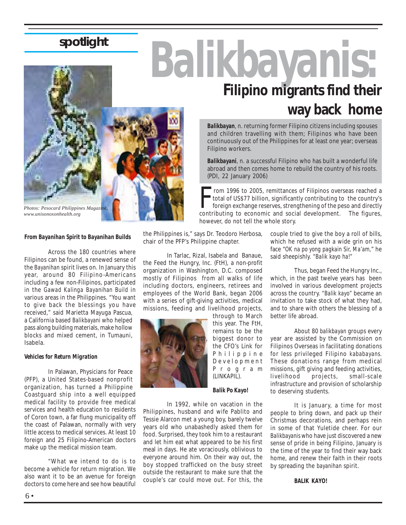# **spotlight**



*www.unisonoxonhealth.org*

### *From Bayanihan Spirit to Bayanihan Builds*

Across the 180 countries where Filipinos can be found, a renewed sense of the *Bayanihan* spirit lives on. In January this year, around 80 Filipino-Americans including a few non-Filipinos, participated in the *Gawad Kalinga Bayanihan Build* in various areas in the Philippines. "You want to give back the blessings you have received," said Marietta Mayuga Pascua, a California based *Balikbayani* who helped pass along building materials, make hollow blocks and mixed cement, in Tumauni, Isabela.

#### *Vehicles for Return Migration*

In Palawan, Physicians for Peace (PFP), a United States-based nonprofit organization, has turned a Philippine Coastguard ship into a well equipped medical facility to provide free medical services and health education to residents of Coron town, a far flung municipality off the coast of Palawan, normally with very little access to medical services. At least 10 foreign and 25 Filipino-American doctors make up the medical mission team.

"What we intend to do is to become a vehicle for return migration. We also want it to be an avenue for foreign doctors to come here and see how beautiful

the Philippines is," says Dr. Teodoro Herbosa, chair of the PFP's Philippine chapter.

Filipino workers.

(PDI, 22 January 2006)

In Tarlac, Rizal, Isabela and Banaue, the Feed the Hungry, Inc. (FtH), a non-profit organization in Washington, D.C. composed mostly of Filipinos from all walks of life including doctors, engineers, retirees and employees of the World Bank, began 2006 with a series of gift-giving activities, medical missions, feeding and livelihood projects,



through to March this year. The FtH, remains to be the biggest donor to the CFO's Link for Philippine Development Program (LINKAPIL).

#### *Balik Po Kayo!*

In 1992, while on vacation in the Philippines, husband and wife Pablito and Tessie Alarcon met a young boy, barely twelve years old who unabashedly asked them for food. Surprised, they took him to a restaurant and let him eat what appeared to be his first meal in days. He ate voraciously, oblivious to everyone around him. On their way out, the boy stopped trafficked on the busy street outside the restaurant to make sure that the couple's car could move out. For this, the

From 1996 to 2005, remittances of Filipinos overseas reached a total of US\$77 billion, significantly contributing to the country's foreign exchange reserves, strengthening of the peso and directly contributing to economic however, do not tell the whole story. couple tried to give the boy a roll of bills, which he refused with a wide grin on his face "*OK na po yong pagkain Sir, Ma'am,*" he

**way back home**

said sheepishly. *"Balik kayo ha!"*

rom 1996 to 2005, remittances of Filipinos overseas reached a total of US\$77 billion, significantly contributing to the country's foreign exchange reserves, strengthening of the peso and directly

*Balikbayan*, n. returning former Filipino citizens including spouses and children travelling with them; Filipinos who have been continuously out of the Philippines for at least one year; overseas

**Filipino migrants find their**

*Balikbayani*, n. a successful Filipino who has built a wonderful life abroad and then comes home to rebuild the country of his roots.

> Thus, began Feed the Hungry Inc., which, in the past twelve years has been involved in various development projects across the country. *"Balik kayo"* became an invitation to take stock of what they had, and to share with others the blessing of a better life abroad.

> About 80 *balikbayan* groups every year are assisted by the Commission on Filipinos Overseas in facilitating donations for less privileged Filipino *kababayans.* These donations range from medical missions, gift giving and feeding activities, livelihood projects, small-scale infrastructure and provision of scholarship to deserving students.

> It is January, a time for most people to bring down, and pack up their Christmas decorations, and perhaps rein in some of that Yuletide cheer. For our *Balikbayanis* who have just discovered a new sense of pride in being Filipino, January is the time of the year to find their way back home, and renew their faith in their roots by spreading the *bayanihan* spirit.

> > *BALIK KAYO!*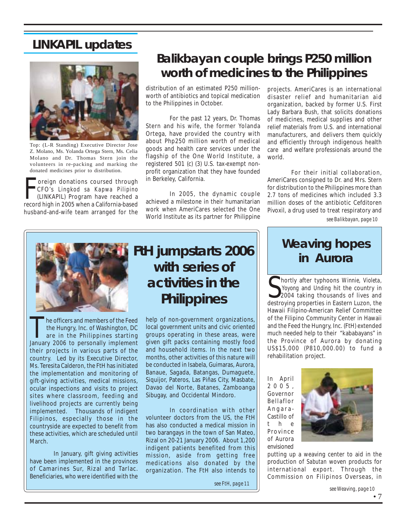## **LINKAPIL updates**



Top: (L-R Standing) Executive Director Jose Z. Molano, Ms. Yolanda Ortega Stern, Ms. Celia Molano and Dr. Thomas Stern join the volunteers in re-packing and marking the donated medicines prior to distribution.

Foreign donations coursed through<br>CFO's *Lingkod sa Kapwa Pilipino*<br>(LINKAPIL) Program have reached a<br>record high in 2005 when a California-based oreign donations coursed through CFO's *Lingkod sa Kapwa Pilipino* (LINKAPIL) Program have reached a husband-and-wife team arranged for the

## **Balikbayan couple brings P250 million worth of medicines to the Philippines**

distribution of an estimated P250 millionworth of antibiotics and topical medication to the Philippines in October.

For the past 12 years, Dr. Thomas Stern and his wife, the former Yolanda Ortega, have provided the country with about Php250 million worth of medical goods and health care services under the flagship of the One World Institute, a registered 501 (c) (3) U.S. tax-exempt nonprofit organization that they have founded in Berkeley, California.

In 2005, the dynamic couple achieved a milestone in their humanitarian work when AmeriCares selected the One World Institute as its partner for Philippine projects. AmeriCares is an international disaster relief and humanitarian aid organization, backed by former U.S. First Lady Barbara Bush, that solicits donations of medicines, medical supplies and other relief materials from U.S. and international manufacturers, and delivers them quickly and efficiently through indigenous health care and welfare professionals around the world.

For their initial collaboration, AmeriCares consigned to Dr. and Mrs. Stern for distribution to the Philippines more than 2.7 tons of medicines which included 3.3 million doses of the antibiotic Cefditoren Pivoxil, a drug used to treat respiratory and

*see Balikbayan, page 10*



The officers and members of the Feed<br>the Hungry, Inc. of Washington, DC<br>are in the Philippines starting<br>lanuary 2006 to personally implement the Hungry, Inc. of Washington, DC are in the Philippines starting January 2006 to personally implement their projects in various parts of the country. Led by its Executive Director, Ms. Teresita Calderon, the FtH has initiated the implementation and monitoring of gift-giving activities, medical missions, ocular inspections and visits to project sites where classroom, feeding and livelihood projects are currently being implemented. Thousands of indigent Filipinos, especially those in the countryside are expected to benefit from these activities, which are scheduled until March.

In January, gift giving activities have been implemented in the provinces of Camarines Sur, Rizal and Tarlac. Beneficiaries, who were identified with the

# **FtH jumpstarts 2006 with series of activities in the Philippines**

help of non-government organizations, local government units and civic oriented groups operating in these areas, were given gift packs containing mostly food and household items. In the next two months, other activities of this nature will be conducted in Isabela, Guimaras, Aurora, Banaue, Sagada, Batangas, Dumaguete, Siquijor, Pateros, Las Piñas City, Masbate, Davao del Norte, Batanes, Zamboanga Sibugay, and Occidental Mindoro.

In coordination with other volunteer doctors from the US, the FtH has also conducted a medical mission in two barangays in the town of San Mateo, Rizal on 20-21 January 2006. About 1,200 indigent patients benefited from this mission, aside from getting free medications also donated by the organization. The FtH also intends to

*see FtH, page 11*

# **Weaving hopes in Aurora**

Shortly after typhoons Winnie, Violeta, Yoyong and Unding hit the country in 2004 taking thousands of lives and destroying properties in Eastern Luzon, the hortly after typhoons *Winnie, Violeta, Yoyong* and *Unding* hit the country in 2004 taking thousands of lives and Hawaii Filipino-American Relief Committee of the Filipino Community Center in Hawaii and the Feed the Hungry, Inc. (FtH) extended much needed help to their "kababayans" in the Province of Aurora by donating US\$15,000 (P810,000.00) to fund a rehabilitation project.

In April 2005, Governor Bellaflor Angara-Castillo of t h e Province of Aurora envisioned



putting up a weaving center to aid in the production of *Sabutan* woven products for international export. Through the Commission on Filipinos Overseas, in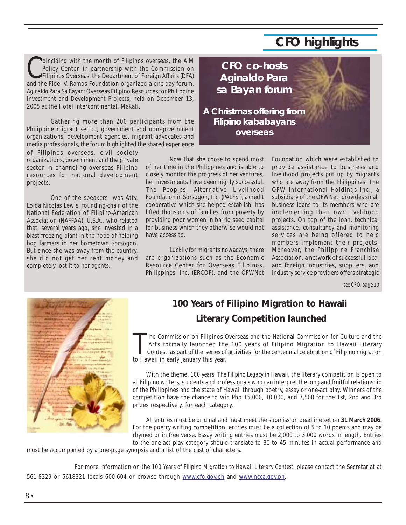# **CFO highlights**

Coinciding with the month of Filipinos overseas, the AIM<br>Policy Center, in partnership with the Commission on<br>Filipinos Overseas, the Department of Foreign Affairs (DFA) Policy Center, in partnership with the Commission on and the Fidel V. Ramos Foundation organized a one-day forum, *Aginaldo Para Sa Bayan:* Overseas Filipino Resources for Philippine Investment and Development Projects, held on December 13, 2005 at the Hotel Intercontinental, Makati.

Gathering more than 200 participants from the Philippine migrant sector, government and non-government organizations, development agencies, migrant advocates and media professionals, the forum highlighted the shared experience

of Filipinos overseas, civil society organizations, government and the private sector in channeling overseas Filipino resources for national development projects.

One of the speakers was Atty. Loida Nicolas Lewis, founding-chair of the National Federation of Filipino-American Association (NAFFAA), U.S.A., who related that, several years ago, she invested in a blast freezing plant in the hope of helping hog farmers in her hometown Sorsogon. But since she was away from the country, she did not get her rent money and completely lost it to her agents.



Now that she chose to spend most of her time in the Philippines and is able to closely monitor the progress of her ventures, her investments have been highly successful. The Peoples' Alternative Livelihood Foundation in Sorsogon, Inc. (PALFSI), a credit cooperative which she helped establish, has lifted thousands of families from poverty by providing poor women in barrio seed capital for business which they otherwise would not have access to.

Luckily for migrants nowadays, there are organizations such as the Economic Resource Center for Overseas Filipinos, Philippines, Inc. (ERCOF), and the OFWNet

Foundation which were established to provide assistance to business and livelihood projects put up by migrants who are away from the Philippines. The OFW International Holdings Inc., a subsidiary of the OFWNet, provides small business loans to its members who are implementing their own livelihood projects. On top of the loan, technical assistance, consultancy and monitoring services are being offered to help members implement their projects. Moreover, the Philippine Franchise Association, a network of successful local and foreign industries, suppliers, and industry service providers offers strategic

*see CFO, page 10*



## **100 Years of Filipino Migration to Hawaii Literary Competition launched**

he Commission on Filipinos Overseas and the National Commission for Culture and the Arts formally launched the 100 years of Filipino Migration to Hawaii Literary Contest as part of the series of activities for the centennial celebration of Filipino migration to Hawaii in early January this year.

With the theme, *100 years: The Filipino Legacy in Hawaii,* the literary competition is open to all Filipino writers, students and professionals who can interpret the long and fruitful relationship of the Philippines and the state of Hawaii through poetry, essay or one-act play. Winners of the competition have the chance to win Php 15,000, 10,000, and 7,500 for the 1st, 2nd and 3rd prizes respectively, for each category.

All entries must be original and must meet the submission deadline set on **31 March 2006.** For the poetry writing competition, entries must be a collection of 5 to 10 poems and may be rhymed or in free verse. Essay writing entries must be 2,000 to 3,000 words in length. Entries to the one-act play category should translate to 30 to 45 minutes in actual performance and

must be accompanied by a one-page synopsis and a list of the cast of characters.

For more information on the *100 Years of Filipino Migration to Hawaii Literary Contest*, please contact the Secretariat at 561-8329 or 5618321 locals 600-604 or browse through www.cfo.gov.ph and www.ncca.gov.ph.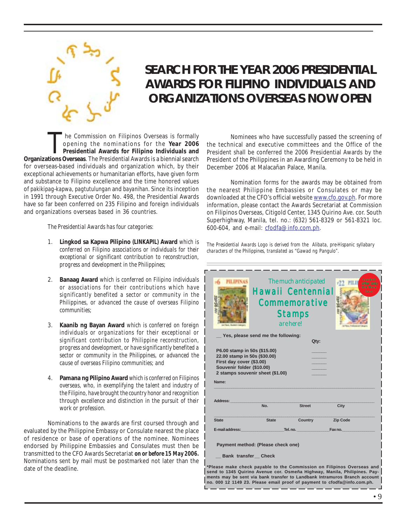

# *SEARCH FOR THE YEAR 2006 PRESIDENTIAL AWARDS FOR FILIPINO INDIVIDUALS AND ORGANIZATIONS OVERSEAS NOW OPEN*

The Commission on Filipinos Overseas is formally<br>
opening the nominations for the Year 2006 the technical and executive committee<br>
Presidential Awards for Filipino Individuals and President shall be conferred the 2006 Pres opening the nominations for the **Year 2006 Presidential Awards for Filipino Individuals and Organizations Overseas**. The Presidential Awards is a biennial search for overseas-based individuals and organization which, by their exceptional achievements or humanitarian efforts, have given form and substance to Filipino excellence and the time honored values of *pakikipag*-*kapwa*, *pagtutulungan* and *bayanihan*. Since its inception in 1991 through Executive Order No. 498, the Presidential Awards have so far been conferred on 235 Filipino and foreign individuals and organizations overseas based in 36 countries.

*The Presidential Awards has four categories:*

- 1. **Lingkod sa Kapwa Pilipino** *(LINKAPIL)* **Award** *which is conferred on Filipino associations or individuals for their exceptional or significant contribution to reconstruction, progress and development in the Philippines;*
- 2. **Banaag Award** *which is conferred on Filipino individuals or associations for their contributions which have significantly benefited a sector or community in the Philippines, or advanced the cause of overseas Filipino communities;*
- 3. **Kaanib ng Bayan Award** *which is conferred on foreign individuals or organizations for their exceptional or significant contribution to Philippine reconstruction, progress and development, or have significantly benefited a sector or community in the Philippines, or advanced the cause of overseas Filipino communities; and*
- 4. **Pamana ng Pilipino Award** *which is conferred on Filipinos overseas, who, in exemplifying the talent and industry of the Filipino, have brought the country honor and recognition through excellence and distinction in the pursuit of their work or profession.*

Nominations to the awards are first coursed through and evaluated by the Philippine Embassy or Consulate nearest the place of residence or base of operations of the nominee. Nominees endorsed by Philippine Embassies and Consulates must then be transmitted to the CFO Awards Secretariat *on or before 15 May 2006.* Nominations sent by mail must be postmarked not later than the date of the deadline.

Nominees who have successfully passed the screening of the technical and executive committees and the Office of the President shall be conferred the 2006 Presidential Awards by the President of the Philippines in an Awarding Ceremony to be held in December 2006 at Malacañan Palace, Manila.

Nomination forms for the awards may be obtained from the nearest Philippine Embassies or Consulates or may be downloaded at the CFO's official website www.cfo.gov.ph. For more information, please contact the Awards Secretariat at Commission on Filipinos Overseas, Citigold Center, 1345 Quirino Ave. cor. South Superhighway, Manila, tel. no.: (632) 561-8329 or 561-8321 loc. 600-604, and e-mail: cfodfa@info.com.ph.

*The Presidential Awards Logo is derived from the Alibata, pre-Hispanic syllabary characters of the Philippines, translated as "Gawad ng Pangulo".*

| <b>PILIPINAS</b><br>a. Alustero Lista                                                                                              |                                            | The much anticipated<br><b>Hawaii Centennial</b><br><b>Commemorative</b><br><b>Stamps</b><br>are here!                                                                                                                             | Limited<br>tLii<br><b>Offer Only</b><br><b>Get Them</b><br>Now!                                                                                                                                                                                                                                              |  |  |  |
|------------------------------------------------------------------------------------------------------------------------------------|--------------------------------------------|------------------------------------------------------------------------------------------------------------------------------------------------------------------------------------------------------------------------------------|--------------------------------------------------------------------------------------------------------------------------------------------------------------------------------------------------------------------------------------------------------------------------------------------------------------|--|--|--|
|                                                                                                                                    | Yes, please send me the following:<br>Qty: |                                                                                                                                                                                                                                    |                                                                                                                                                                                                                                                                                                              |  |  |  |
| 22.00 stamp in 50s (\$30.00)<br>First day cover (\$3.00)<br>Souvenir folder (\$10.00)<br>2 stamps souvenir sheet (\$1.00)<br>Name: |                                            |                                                                                                                                                                                                                                    |                                                                                                                                                                                                                                                                                                              |  |  |  |
| Address:                                                                                                                           |                                            |                                                                                                                                                                                                                                    |                                                                                                                                                                                                                                                                                                              |  |  |  |
|                                                                                                                                    | No.                                        | <b>Street</b>                                                                                                                                                                                                                      | City                                                                                                                                                                                                                                                                                                         |  |  |  |
| <b>State</b>                                                                                                                       | <b>State</b>                               | Country                                                                                                                                                                                                                            | Zip Code                                                                                                                                                                                                                                                                                                     |  |  |  |
| E-mail address:                                                                                                                    |                                            | <b>Tel.no.</b> The contract of the contract of the contract of the contract of the contract of the contract of the contract of the contract of the contract of the contract of the contract of the contract of the contract of the | Fax no.                                                                                                                                                                                                                                                                                                      |  |  |  |
| Payment method: (Please check one)                                                                                                 |                                            |                                                                                                                                                                                                                                    |                                                                                                                                                                                                                                                                                                              |  |  |  |
| <b>Bank transfer Check</b>                                                                                                         |                                            |                                                                                                                                                                                                                                    |                                                                                                                                                                                                                                                                                                              |  |  |  |
|                                                                                                                                    |                                            |                                                                                                                                                                                                                                    | *Please make check payable to the Commission on Filipinos Overseas and<br>send to 1345 Quirino Avenue cor. Osmeña Highway, Manila, Philipines. Pay-<br>ments may be sent via bank transfer to Landbank Intramuros Branch account<br>no. 000 12 1149 23. Please email proof of payment to cfodfa@info.com.ph. |  |  |  |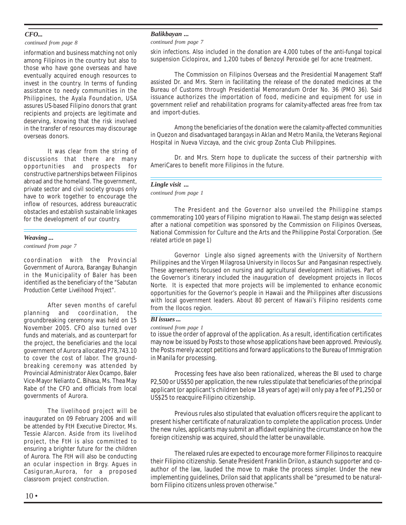### *CFO...*

*continued from page 8*

information and business matching not only among Filipinos in the country but also to those who have gone overseas and have eventually acquired enough resources to invest in the country. In terms of funding assistance to needy communities in the Philippines, the Ayala Foundation, USA assures US-based Filipino donors that grant recipients and projects are legitimate and deserving, knowing that the risk involved in the transfer of resources may discourage overseas donors.

It was clear from the string of discussions that there are many opportunities and prospects for constructive partnerships between Filipinos abroad and the homeland. The government, private sector and civil society groups only have to work together to encourage the inflow of resources, address bureaucratic obstacles and establish sustainable linkages for the development of our country.

## *Weaving ...*

*continued from page 7*

coordination with the Provincial Government of Aurora, Barangay Buhangin in the Municipality of Baler has been identified as the beneficiary of the *"Sabutan Production Center Livelihood Project".*

After seven months of careful planning and coordination, the groundbreaking ceremony was held on 15 November 2005. CFO also turned over funds and materials, and as counterpart for the project, the beneficiaries and the local government of Aurora allocated P78,743.10 to cover the cost of labor. The groundbreaking ceremony was attended by Provincial Administrator Alex Ocampo, Baler Vice-Mayor Nelianto C. Bihasa, Ms. Thea May Rabe of the CFO and officials from local governments of Aurora.

The livelihood project will be inaugurated on 09 February 2006 and will be attended by FtH Executive Director, Ms. Tessie Alarcon. Aside from its livelihod project, the FtH is also committed to ensuring a brighter future for the children of Aurora. The FtH will also be conducting an ocular inspection in Brgy. Agues in Casiguran,Aurora, for a proposed classroom project construction.

### *Balikbayan ...*

#### *continued from page 7*

skin infections. Also included in the donation are 4,000 tubes of the anti-fungal topical suspension Ciclopirox, and 1,200 tubes of Benzoyl Peroxide gel for acne treatment.

The Commission on Filipinos Overseas and the Presidential Management Staff assisted Dr. and Mrs. Stern in facilitating the release of the donated medicines at the Bureau of Customs through Presidential Memorandum Order No. 36 (PMO 36). Said issuance authorizes the importation of food, medicine and equipment for use in government relief and rehabilitation programs for calamity-affected areas free from tax and import-duties.

Among the beneficiaries of the donation were the calamity-affected communities in Quezon and disadvantaged *barangays* in Aklan and Metro Manila, the Veterans Regional Hospital in Nueva Vizcaya, and the civic group Zonta Club Philippines.

Dr. and Mrs. Stern hope to duplicate the success of their partnership with AmeriCares to benefit more Filipinos in the future.

### *Lingle visit ...*

#### *continued from page 1*

The President and the Governor also unveiled the Philippine stamps commemorating 100 years of Filipino migration to Hawaii. The stamp design was selected after a national competition was sponsored by the Commission on Filipinos Overseas, National Commission for Culture and the Arts and the Philippine Postal Corporation. *(See related article on page 1)*

Governor Lingle also signed agreements with the University of Northern Philippines and the Virgen Milagrosa University in Ilocos Sur and Pangasinan respectively. These agreements focused on nursing and agricultural development initiatives. Part of the Governor's itinerary included the inauguration of development projects in Ilocos Norte. It is expected that more projects will be implemented to enhance economic opportunities for the Governor's people in Hawaii and the Philippines after discussions with local government leaders. About 80 percent of Hawaii's Filipino residents come from the Ilocos region.

#### *BI issues ...*

*continued from page 1*

to issue the order of approval of the application. As a result, identification certificates may now be issued by Posts to those whose applications have been approved. Previously, the Posts merely accept petitions and forward applications to the Bureau of Immigration in Manila for processing.

Processing fees have also been rationalized, whereas the BI used to charge P2,500 or US\$50 per application, the new rules stipulate that beneficiaries of the principal applicant (or applicant's children below 18 years of age) will only pay a fee of P1,250 or US\$25 to reacquire Filipino citizenship.

Previous rules also stipulated that evaluation officers require the applicant to present his/her certificate of naturalization to complete the application process. Under the new rules, applicants may submit an affidavit explaining the circumstance on how the foreign citizenship was acquired, should the latter be unavailable.

The relaxed rules are expected to encourage more former Filipinos to reacquire their Filipino citizenship. Senate President Franklin Drilon, a staunch supporter and coauthor of the law, lauded the move to make the process simpler. Under the new implementing guidelines, Drilon said that applicants shall be "presumed to be naturalborn Filipino citizens unless proven otherwise."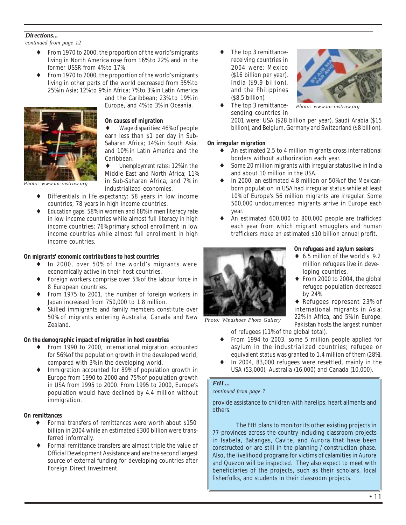### *Directions...*

*continued from page 12*

- From 1970 to 2000, the proportion of the world's migrants living in North America rose from 16% to 22%, and in the former USSR from 4% to 17%.
- From 1970 to 2000, the proportion of the world's migrants living in other parts of the world decreased from 35% to 25% in Asia; 12% to 9% in Africa; 7% to 3% in Latin America

and the Caribbean; 23% to 19% in Europe, and 4% to 3% in Oceania.



♦ *Wage disparities:* 46% of people earn less than \$1 per day in Sub-Saharan Africa; 14% in South Asia, and 10% in Latin America and the Caribbean.

♦ *Unemployment rates:* 12% in the Middle East and North Africa; 11% in Sub-Saharan Africa, and 7% in

*Photo: www.un-instraw.org*

- industrialized economies. *Differentials in life expectancy:* 58 years in low income countries; 78 years in high income countries.
- *Education gaps:* 58% in women and 68% in men literacy rate in low income countries while almost full literacy in high income countries; 76% primary school enrollment in low income countries while almost full enrollment in high income countries.

### *On migrants' economic contributions to host countries*

- In 2000, over 50% of the world's migrants were economically active in their host countries.
- ♦ Foreign workers comprise over 5% of the labour force in 8 European countries.
- From 1975 to 2001, the number of foreign workers in Japan increased from 750,000 to 1.8 million.
- Skilled immigrants and family members constitute over 50% of migrants entering Australia, Canada and New Zealand.

### *On the demographic impact of migration in host countries*

- ♦ From 1990 to 2000, international migration accounted for 56% of the population growth in the developed world, compared with 3% in the developing world.
- Immigration accounted for 89% of population growth in Europe from 1990 to 2000 and 75% of population growth in USA from 1995 to 2000. From 1995 to 2000, Europe's population would have declined by 4.4 million without immigration.

### *On remittances*

- Formal transfers of remittances were worth about \$150 billion in 2004 while an estimated \$300 billion were transferred informally.
- Formal remittance transfers are almost triple the value of Official Development Assistance and are the second largest source of external funding for developing countries after Foreign Direct Investment.

The top 3 remittancereceiving countries in 2004 were: Mexico (\$16 billion per year), India (\$9.9 billion), and the Philippines (\$8.5 billion). The top 3 remittance-



*Photo: www.un-instraw.org*

sending countries in 2001 were: USA (\$28 billion per year), Saudi Arabia (\$15 billion), and Belgium, Germany and Switzerland (\$8 billion).

### *On irregular migration*

- An estimated 2.5 to 4 million migrants cross international borders without authorization each year.
- Some 20 million migrants with irregular status live in India and about 10 million in the USA.
- In 2000, an estimated 4.8 million or 50% of the Mexicanborn population in USA had irregular status while at least 10% of Europe's 56 million migrants are irregular. Some 500,000 undocumented migrants arrive in Europe each year.
- An estimated 600,000 to 800,000 people are trafficked each year from which migrant smugglers and human traffickers make an estimated \$10 billion annual profit.



*Photo: Windshoes Photo Gallery*

*On refugees and asylum seekers*

- ♦ 6.5 million of the world's 9.2 million refugees live in developing countries.
- $\bullet$  From 2000 to 2004, the global refugee population decreased by 24%.

♦ Refugees represent 23% of international migrants in Asia; 22% in Africa, and 5% in Europe. Pakistan hosts the largest number

of refugees (11% of the global total).

- ♦ From 1994 to 2003, some 5 million people applied for asylum in the industrialized countries; refugee or equivalent status was granted to 1.4 million of them (28%).
- In 2004, 83,000 refugees were resettled, mainly in the USA (53,000), Australia (16,000) and Canada (10,000).

### *FtH ...*

### *continued from page 7*

provide assistance to children with harelips, heart ailments and others.

The FtH plans to monitor its other existing projects in 77 provinces across the country including classroom projects in Isabela, Batangas, Cavite, and Aurora that have been constructed or are still in the planning / construction phase. Also, the livelihood programs for victims of calamities in Aurora and Quezon will be inspected. They also expect to meet with beneficiaries of the projects, such as their scholars, local fisherfolks, and students in their classroom projects.